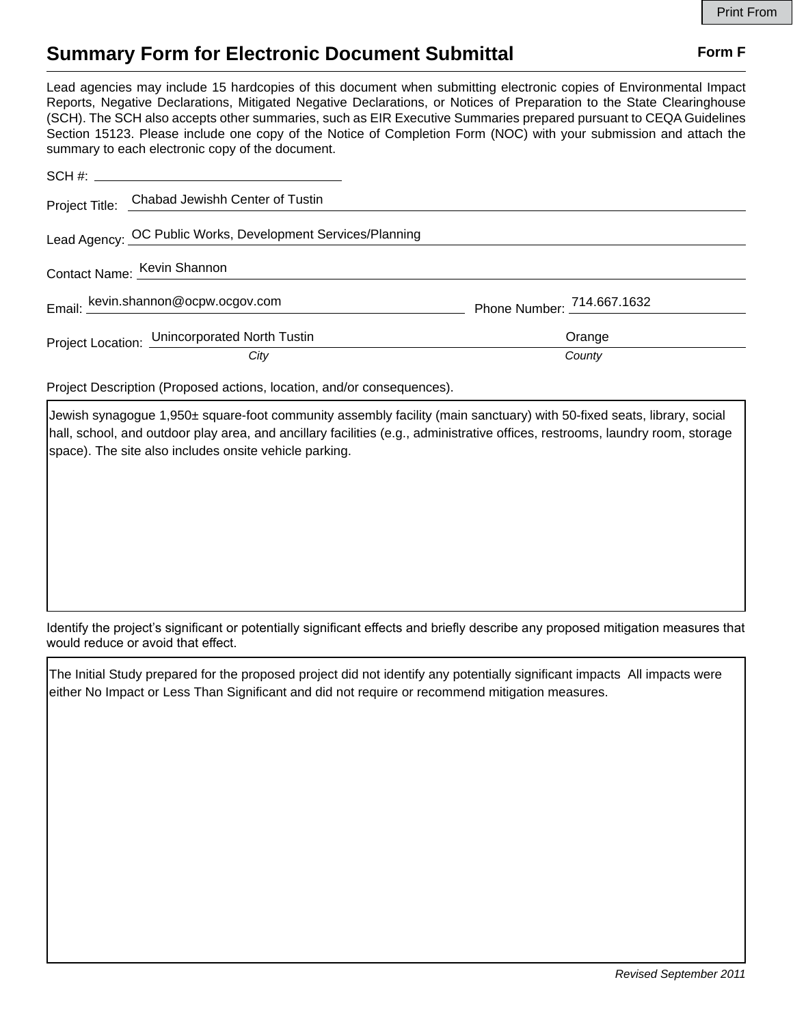## **Summary Form for Electronic Document Submittal Form F Form F**

Lead agencies may include 15 hardcopies of this document when submitting electronic copies of Environmental Impact Reports, Negative Declarations, Mitigated Negative Declarations, or Notices of Preparation to the State Clearinghouse (SCH). The SCH also accepts other summaries, such as EIR Executive Summaries prepared pursuant to CEQA Guidelines Section 15123. Please include one copy of the Notice of Completion Form (NOC) with your submission and attach the summary to each electronic copy of the document.

|                             | Project Title: Chabad Jewishh Center of Tustin              |                            |
|-----------------------------|-------------------------------------------------------------|----------------------------|
|                             | Lead Agency: OC Public Works, Development Services/Planning |                            |
| Contact Name: Kevin Shannon |                                                             |                            |
|                             | Email: kevin.shannon@ocpw.ocgov.com                         | Phone Number: 714.667.1632 |
|                             | Project Location: Unincorporated North Tustin               | Orange                     |
|                             | City                                                        | County                     |

Project Description (Proposed actions, location, and/or consequences).

Jewish synagogue 1,950± square-foot community assembly facility (main sanctuary) with 50-fixed seats, library, social hall, school, and outdoor play area, and ancillary facilities (e.g., administrative offices, restrooms, laundry room, storage space). The site also includes onsite vehicle parking.

Identify the project's significant or potentially significant effects and briefly describe any proposed mitigation measures that would reduce or avoid that effect.

The Initial Study prepared for the proposed project did not identify any potentially significant impacts All impacts were either No Impact or Less Than Significant and did not require or recommend mitigation measures.